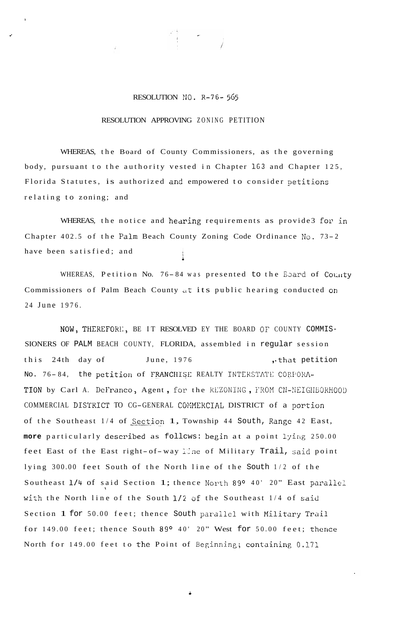## RESOLUTION NO. R-76-565

## RESOLUTION APPROVING ZONING PETITION

WHEREAS, the Board of County Commissioners, as the governing body, pursuant to the authority vested in Chapter 163 and Chapter 125, Florida Statutes, is authorized and empowered to consider petitions relating to zoning; and

WHEREAS, the notice and hearing requirements as provide3 for in Chapter 402.5 of the Palm Beach County Zoning Code Ordinance No. 73-2 have been satisfied; and

WHEREAS, Petition No. 76-84 was presented to the Ebard of County Commissioners of Palm Beach County at its public hearing conducted on 24 June 1976.

NOW, THEREFORE, BE IT RESOLVED EY THE BOARD OF COUNTY COMMIS-SIONERS OF PALM BEACH COUNTY, FLORIDA, assembled in regular session this 24th day of June, 1976 , that petition No. 76-84, the petition of FRANCHISE REALTY INTERSTATE CORPORA-TION by Carl A. DeFranco, Agent, for the REZONING, FROM CN-NEIGHBORHOOD COMMERCIAL DISTRICT TO CG-GENERAL COMMERCIAL DISTRICT of a portion of the Southeast 1/4 of Section 1, Township 44 South, Range 42 East, more particularly described as follows: begin at a point lying 250.00 feet East of the East right-of-way line of Military Trail, said point lying 300.00 feet South of the North line of the South 1/2 of the Southeast 1/4 of said Section 1; thence North 89° 40' 20" East parallel with the North line of the South 1/2 of the Southeast 1/4 of said Section 1 for 50.00 feet; thence South parallel with Military Trail for 149.00 feet; thence South 89° 40' 20" West for 50.00 feet; thence North for 149.00 feet to the Point of Beginning; containing 0.171